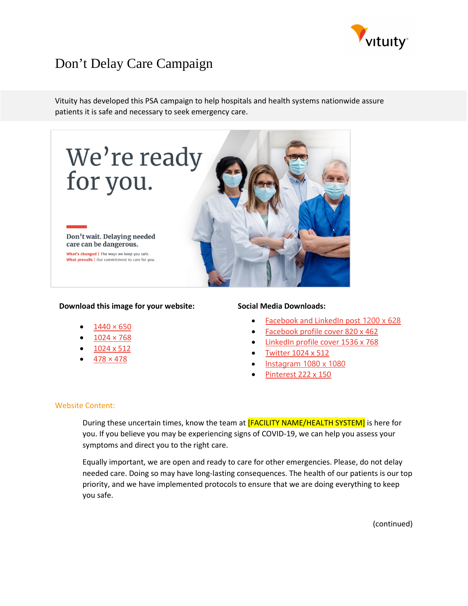

# Don't Delay Care Campaign

Vituity has developed this PSA campaign to help hospitals and health systems nationwide assure patients it is safe and necessary to seek emergency care.



### **Download this image for your website:**

- $1440 \times 650$
- $1024 \times 768$
- [1024 x 512](https://www.vituity.com/media/2766/website-1024x512.jpg)
- $478 \times 478$

#### **Social Media Downloads:**

- [Facebook and LinkedIn post](https://www.vituity.com/media/2767/fb-linkedin-1200x628.jpg) 1200 x 628
- [Facebook profile cover 820 x 462](https://www.vituity.com/media/2768/fb-profile-cover-820x462.jpg)
- [LinkedIn profile cover 1536 x 768](https://www.vituity.com/media/2762/linkedin-profile-cover-1536x768.jpg)
- [Twitter 1024 x 512](https://www.vituity.com/media/2765/twitter-1024x512.jpg)
- [Instagram 1080 x 1080](https://www.vituity.com/media/2769/instagram-1080x1080.jpg)
- [Pinterest 222 x 150](https://www.vituity.com/media/2771/pinterest-222x150.jpg)

#### Website Content:

During these uncertain times, know the team at **[FACILITY NAME/HEALTH SYSTEM]** is here for you. If you believe you may be experiencing signs of COVID-19, we can help you assess your symptoms and direct you to the right care.

Equally important, we are open and ready to care for other emergencies. Please, do not delay needed care. Doing so may have long-lasting consequences. The health of our patients is our top priority, and we have implemented protocols to ensure that we are doing everything to keep you safe.

(continued)